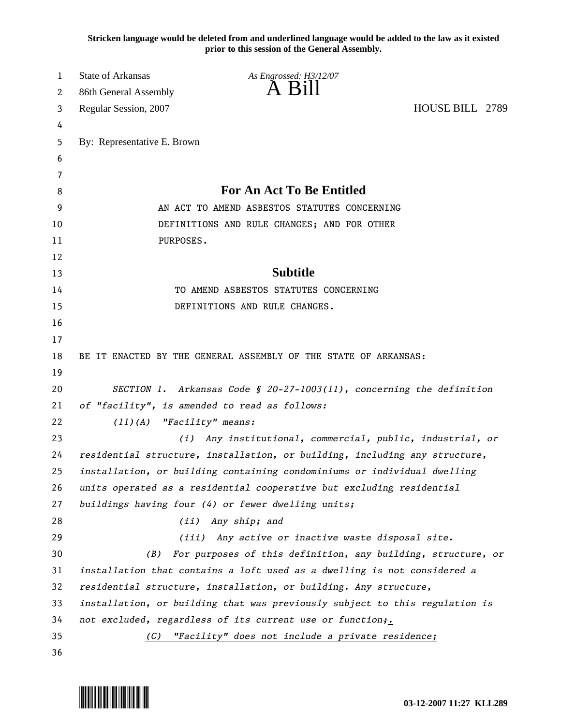**Stricken language would be deleted from and underlined language would be added to the law as it existed prior to this session of the General Assembly.**

| 1  | <b>State of Arkansas</b>                                                    | As Engrossed: H3/12/07                                                   |                 |
|----|-----------------------------------------------------------------------------|--------------------------------------------------------------------------|-----------------|
| 2  | 86th General Assembly                                                       | $A$ $B1$                                                                 |                 |
| 3  | Regular Session, 2007                                                       |                                                                          | HOUSE BILL 2789 |
| 4  |                                                                             |                                                                          |                 |
| 5  | By: Representative E. Brown                                                 |                                                                          |                 |
| 6  |                                                                             |                                                                          |                 |
| 7  |                                                                             |                                                                          |                 |
| 8  |                                                                             | <b>For An Act To Be Entitled</b>                                         |                 |
| 9  |                                                                             | AN ACT TO AMEND ASBESTOS STATUTES CONCERNING                             |                 |
| 10 |                                                                             | DEFINITIONS AND RULE CHANGES; AND FOR OTHER                              |                 |
| 11 | PURPOSES.                                                                   |                                                                          |                 |
| 12 |                                                                             |                                                                          |                 |
| 13 |                                                                             | <b>Subtitle</b>                                                          |                 |
| 14 |                                                                             | TO AMEND ASBESTOS STATUTES CONCERNING                                    |                 |
| 15 |                                                                             | DEFINITIONS AND RULE CHANGES.                                            |                 |
| 16 |                                                                             |                                                                          |                 |
| 17 |                                                                             |                                                                          |                 |
| 18 |                                                                             | BE IT ENACTED BY THE GENERAL ASSEMBLY OF THE STATE OF ARKANSAS:          |                 |
| 19 |                                                                             |                                                                          |                 |
| 20 | SECTION 1. Arkansas Code § 20-27-1003(11), concerning the definition        |                                                                          |                 |
| 21 | of "facility", is amended to read as follows:                               |                                                                          |                 |
| 22 | (11)(A)                                                                     | "Facility" means:                                                        |                 |
| 23 | (i)                                                                         | Any institutional, commercial, public, industrial, or                    |                 |
| 24 | residential structure, installation, or building, including any structure,  |                                                                          |                 |
| 25 |                                                                             | installation, or building containing condominiums or individual dwelling |                 |
| 26 |                                                                             | units operated as a residential cooperative but excluding residential    |                 |
| 27 |                                                                             | buildings having four (4) or fewer dwelling units;                       |                 |
| 28 |                                                                             | (ii) Any ship; and                                                       |                 |
| 29 |                                                                             | (iii) Any active or inactive waste disposal site.                        |                 |
| 30 | (B)                                                                         | For purposes of this definition, any building, structure, or             |                 |
| 31 | installation that contains a loft used as a dwelling is not considered a    |                                                                          |                 |
| 32 | residential structure, installation, or building. Any structure,            |                                                                          |                 |
| 33 | installation, or building that was previously subject to this regulation is |                                                                          |                 |
| 34 | not excluded, regardless of its current use or function+.                   |                                                                          |                 |
| 35 | (C)                                                                         | "Facility" does not include a private residence;                         |                 |
| 36 |                                                                             |                                                                          |                 |